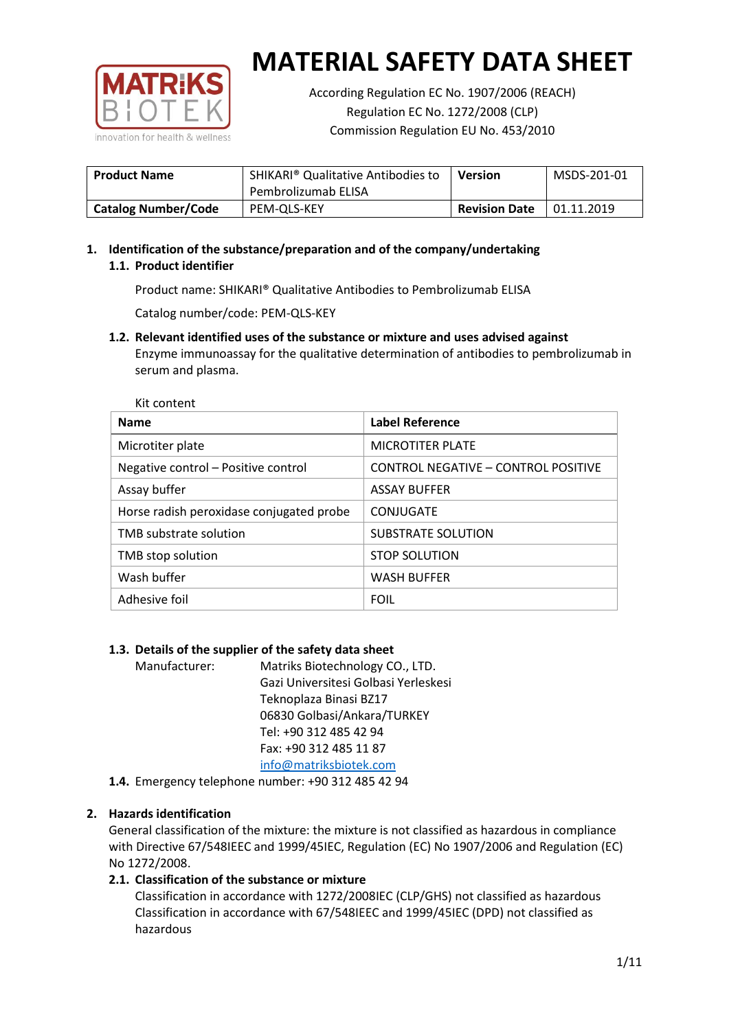

According Regulation EC No. 1907/2006 (REACH) Regulation EC No. 1272/2008 (CLP) Commission Regulation EU No. 453/2010

| <b>Product Name</b>        | SHIKARI <sup>®</sup> Qualitative Antibodies to<br>Pembrolizumab ELISA | <b>Version</b>       | MSDS-201-01 |
|----------------------------|-----------------------------------------------------------------------|----------------------|-------------|
| <b>Catalog Number/Code</b> | PEM-OLS-KEY                                                           | <b>Revision Date</b> | 01.11.2019  |

# **1. Identification of the substance/preparation and of the company/undertaking 1.1. Product identifier**

Product name: SHIKARI® Qualitative Antibodies to Pembrolizumab ELISA

Catalog number/code: PEM-QLS-KEY

**1.2. Relevant identified uses of the substance or mixture and uses advised against** Enzyme immunoassay for the qualitative determination of antibodies to pembrolizumab in serum and plasma.

| Kit content                              |                                     |
|------------------------------------------|-------------------------------------|
| <b>Name</b>                              | <b>Label Reference</b>              |
| Microtiter plate                         | <b>MICROTITER PLATE</b>             |
| Negative control - Positive control      | CONTROL NEGATIVE - CONTROL POSITIVE |
| Assay buffer                             | <b>ASSAY BUFFER</b>                 |
| Horse radish peroxidase conjugated probe | CONJUGATE                           |
| TMB substrate solution                   | <b>SUBSTRATE SOLUTION</b>           |
| TMB stop solution                        | <b>STOP SOLUTION</b>                |
| Wash buffer                              | <b>WASH BUFFER</b>                  |
| Adhesive foil                            | <b>FOIL</b>                         |

## **1.3. Details of the supplier of the safety data sheet**

Manufacturer: Matriks Biotechnology CO., LTD. Gazi Universitesi Golbasi Yerleskesi Teknoplaza Binasi BZ17 06830 Golbasi/Ankara/TURKEY Tel: +90 312 485 42 94 Fax: +90 312 485 11 87 [info@matriksbiotek.com](mailto:info@matriksbiotek.com)

**1.4.** Emergency telephone number: +90 312 485 42 94

## **2. Hazards identification**

General classification of the mixture: the mixture is not classified as hazardous in compliance with Directive 67/548IEEC and 1999/45IEC, Regulation (EC) No 1907/2006 and Regulation (EC) No 1272/2008.

## **2.1. Classification of the substance or mixture**

Classification in accordance with 1272/2008IEC (CLP/GHS) not classified as hazardous Classification in accordance with 67/548IEEC and 1999/45IEC (DPD) not classified as hazardous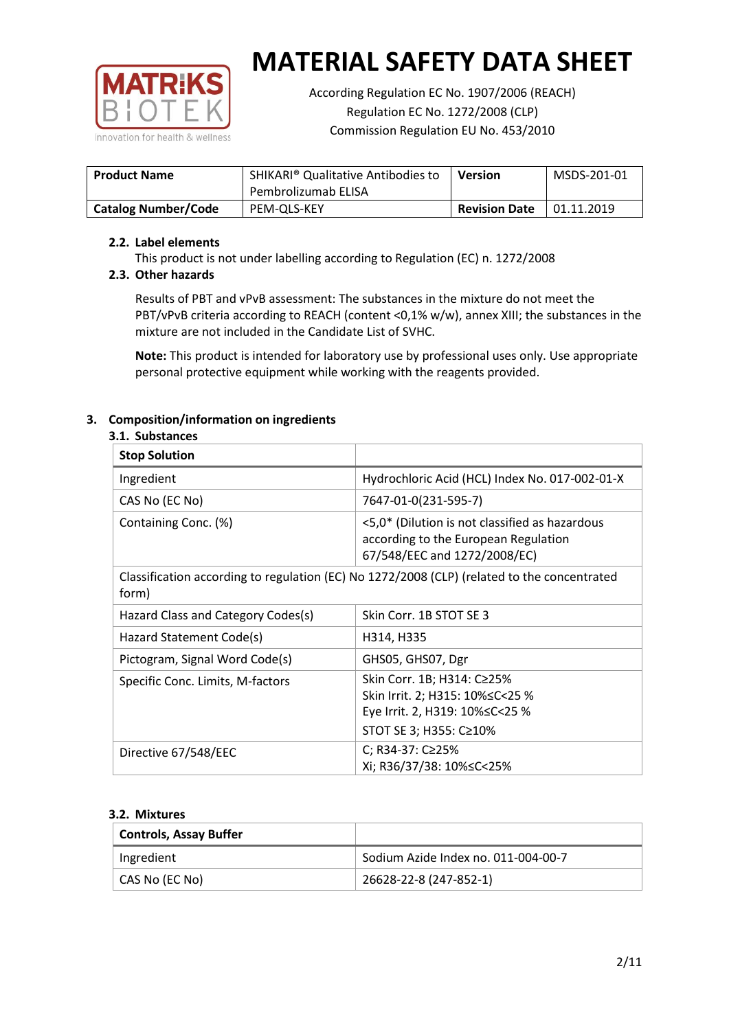

According Regulation EC No. 1907/2006 (REACH) Regulation EC No. 1272/2008 (CLP) Commission Regulation EU No. 453/2010

| <b>Product Name</b>        | SHIKARI <sup>®</sup> Qualitative Antibodies to<br>Pembrolizumab ELISA | <b>Version</b>       | MSDS-201-01 |
|----------------------------|-----------------------------------------------------------------------|----------------------|-------------|
| <b>Catalog Number/Code</b> | PEM-OLS-KEY                                                           | <b>Revision Date</b> | 01.11.2019  |

## **2.2. Label elements**

This product is not under labelling according to Regulation (EC) n. 1272/2008

## **2.3. Other hazards**

Results of PBT and vPvB assessment: The substances in the mixture do not meet the PBT/vPvB criteria according to REACH (content <0,1% w/w), annex XIII; the substances in the mixture are not included in the Candidate List of SVHC.

**Note:** This product is intended for laboratory use by professional uses only. Use appropriate personal protective equipment while working with the reagents provided.

## **3. Composition/information on ingredients**

### **3.1. Substances**

| <b>Stop Solution</b>                                                                                 |                                                                                                                               |
|------------------------------------------------------------------------------------------------------|-------------------------------------------------------------------------------------------------------------------------------|
| Ingredient                                                                                           | Hydrochloric Acid (HCL) Index No. 017-002-01-X                                                                                |
| CAS No (EC No)                                                                                       | 7647-01-0(231-595-7)                                                                                                          |
| Containing Conc. (%)                                                                                 | <5,0* (Dilution is not classified as hazardous<br>according to the European Regulation<br>67/548/EEC and 1272/2008/EC)        |
| Classification according to regulation (EC) No 1272/2008 (CLP) (related to the concentrated<br>form) |                                                                                                                               |
| Hazard Class and Category Codes(s)                                                                   | Skin Corr. 1B STOT SE 3                                                                                                       |
| Hazard Statement Code(s)                                                                             | H314, H335                                                                                                                    |
| Pictogram, Signal Word Code(s)                                                                       | GHS05, GHS07, Dgr                                                                                                             |
| Specific Conc. Limits, M-factors                                                                     | Skin Corr. 1B; H314: C≥25%<br>Skin Irrit. 2; H315: 10% ≤ C < 25 %<br>Eye Irrit. 2, H319: 10%≤C<25 %<br>STOT SE 3; H355: C≥10% |
| Directive 67/548/EEC                                                                                 | C; R34-37: C≥25%<br>Xi; R36/37/38: 10% <<<<<<<                                                                                |

#### **3.2. Mixtures**

| <b>Controls, Assay Buffer</b> |                                     |
|-------------------------------|-------------------------------------|
| Ingredient                    | Sodium Azide Index no. 011-004-00-7 |
| CAS No (EC No)                | 26628-22-8 (247-852-1)              |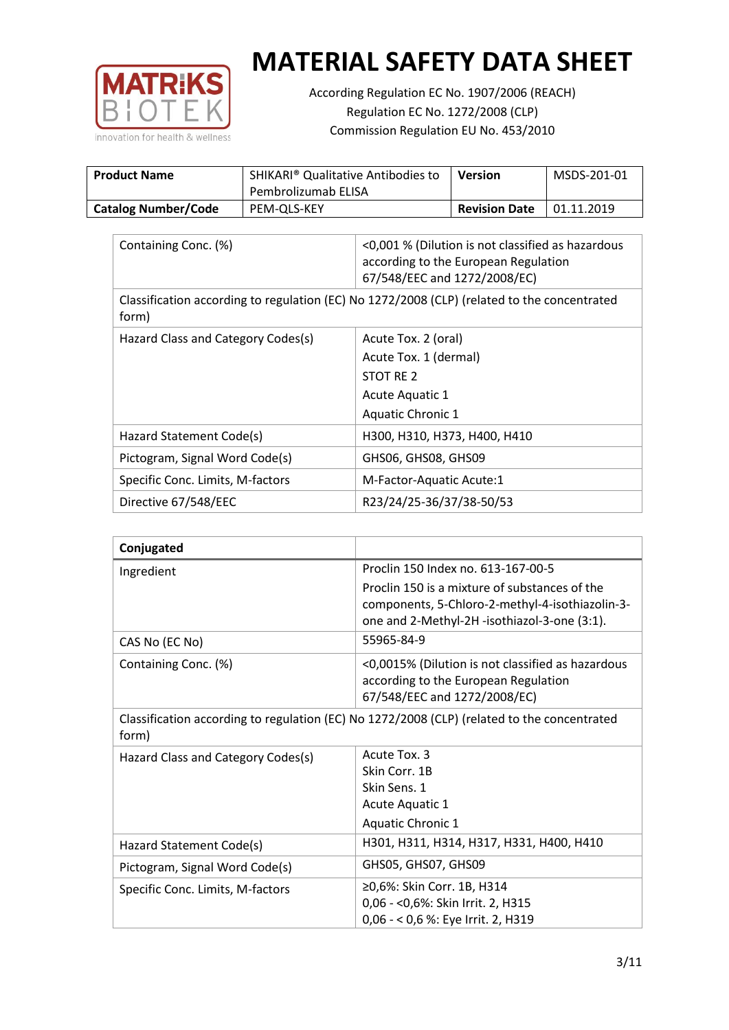

According Regulation EC No. 1907/2006 (REACH) Regulation EC No. 1272/2008 (CLP) Commission Regulation EU No. 453/2010

| <b>Product Name</b>        | SHIKARI <sup>®</sup> Qualitative Antibodies to<br>Pembrolizumab ELISA | Version              | MSDS-201-01 |
|----------------------------|-----------------------------------------------------------------------|----------------------|-------------|
| <b>Catalog Number/Code</b> | PEM-OLS-KEY                                                           | <b>Revision Date</b> | 01.11.2019  |

| Containing Conc. (%)                                                                                 | <0,001 % (Dilution is not classified as hazardous<br>according to the European Regulation<br>67/548/EEC and 1272/2008/EC) |  |
|------------------------------------------------------------------------------------------------------|---------------------------------------------------------------------------------------------------------------------------|--|
| Classification according to regulation (EC) No 1272/2008 (CLP) (related to the concentrated<br>form) |                                                                                                                           |  |
| Hazard Class and Category Codes(s)                                                                   | Acute Tox. 2 (oral)                                                                                                       |  |
|                                                                                                      | Acute Tox. 1 (dermal)                                                                                                     |  |
|                                                                                                      | STOT RE 2                                                                                                                 |  |
|                                                                                                      | Acute Aquatic 1                                                                                                           |  |
|                                                                                                      | <b>Aquatic Chronic 1</b>                                                                                                  |  |
| Hazard Statement Code(s)                                                                             | H300, H310, H373, H400, H410                                                                                              |  |
| Pictogram, Signal Word Code(s)                                                                       | GHS06, GHS08, GHS09                                                                                                       |  |
| Specific Conc. Limits, M-factors                                                                     | M-Factor-Aquatic Acute:1                                                                                                  |  |
| Directive 67/548/EEC                                                                                 | R23/24/25-36/37/38-50/53                                                                                                  |  |

| Conjugated                         |                                                                                                                                                  |
|------------------------------------|--------------------------------------------------------------------------------------------------------------------------------------------------|
| Ingredient                         | Proclin 150 Index no. 613-167-00-5                                                                                                               |
|                                    | Proclin 150 is a mixture of substances of the<br>components, 5-Chloro-2-methyl-4-isothiazolin-3-<br>one and 2-Methyl-2H -isothiazol-3-one (3:1). |
| CAS No (EC No)                     | 55965-84-9                                                                                                                                       |
| Containing Conc. (%)               | <0,0015% (Dilution is not classified as hazardous<br>according to the European Regulation<br>67/548/EEC and 1272/2008/EC)                        |
| form)                              | Classification according to regulation (EC) No 1272/2008 (CLP) (related to the concentrated                                                      |
| Hazard Class and Category Codes(s) | Acute Tox, 3                                                                                                                                     |
|                                    | Skin Corr. 1B                                                                                                                                    |
|                                    | Skin Sens. 1                                                                                                                                     |
|                                    | Acute Aquatic 1                                                                                                                                  |
|                                    | <b>Aquatic Chronic 1</b>                                                                                                                         |
| Hazard Statement Code(s)           | H301, H311, H314, H317, H331, H400, H410                                                                                                         |
| Pictogram, Signal Word Code(s)     | GHS05, GHS07, GHS09                                                                                                                              |
| Specific Conc. Limits, M-factors   | ≥0,6%: Skin Corr. 1B, H314<br>0,06 - < 0,6%: Skin Irrit. 2, H315<br>0,06 - < 0,6 %: Eye Irrit. 2, H319                                           |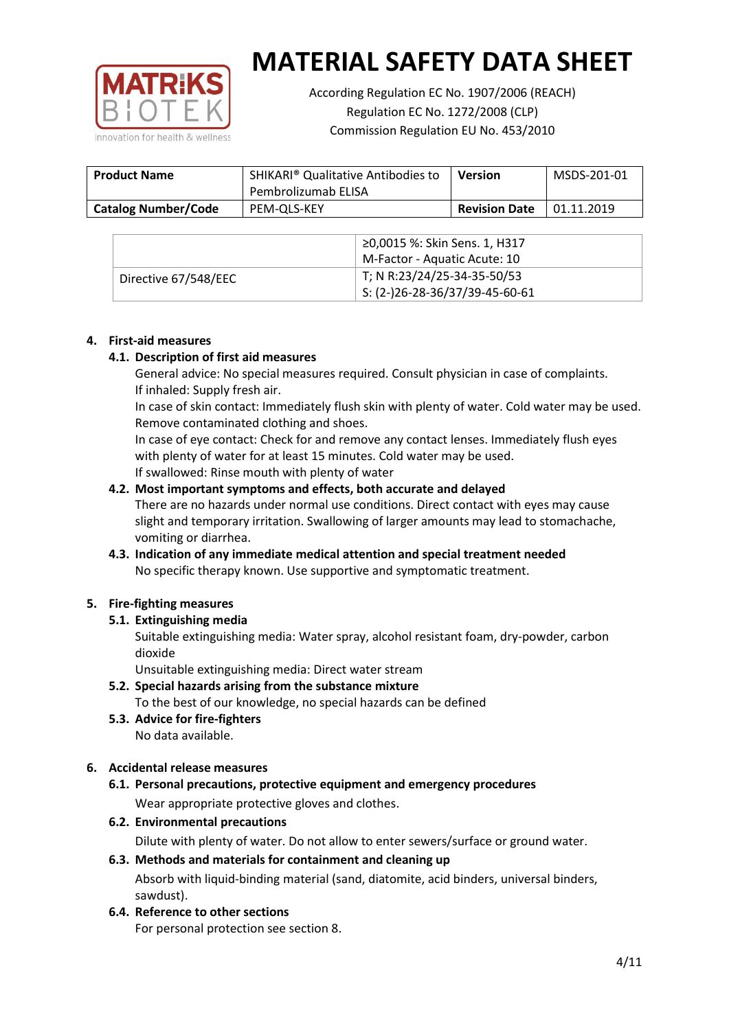

According Regulation EC No. 1907/2006 (REACH) Regulation EC No. 1272/2008 (CLP) Commission Regulation EU No. 453/2010

| <b>Product Name</b>        | SHIKARI <sup>®</sup> Qualitative Antibodies to<br>Pembrolizumab ELISA | <b>Version</b>       | MSDS-201-01 |
|----------------------------|-----------------------------------------------------------------------|----------------------|-------------|
| <b>Catalog Number/Code</b> | PEM-OLS-KEY                                                           | <b>Revision Date</b> | 01.11.2019  |

|                      | ≥0,0015 %: Skin Sens. 1, H317                |
|----------------------|----------------------------------------------|
|                      | M-Factor - Aquatic Acute: 10                 |
| Directive 67/548/EEC | T; N R:23/24/25-34-35-50/53                  |
|                      | $\frac{1}{2}$ S: (2-)26-28-36/37/39-45-60-61 |

### **4. First-aid measures**

### **4.1. Description of first aid measures**

General advice: No special measures required. Consult physician in case of complaints. If inhaled: Supply fresh air.

In case of skin contact: Immediately flush skin with plenty of water. Cold water may be used. Remove contaminated clothing and shoes.

In case of eye contact: Check for and remove any contact lenses. Immediately flush eyes with plenty of water for at least 15 minutes. Cold water may be used. If swallowed: Rinse mouth with plenty of water

### **4.2. Most important symptoms and effects, both accurate and delayed**

There are no hazards under normal use conditions. Direct contact with eyes may cause slight and temporary irritation. Swallowing of larger amounts may lead to stomachache, vomiting or diarrhea.

## **4.3. Indication of any immediate medical attention and special treatment needed** No specific therapy known. Use supportive and symptomatic treatment.

## **5. Fire-fighting measures**

## **5.1. Extinguishing media**

Suitable extinguishing media: Water spray, alcohol resistant foam, dry-powder, carbon dioxide

Unsuitable extinguishing media: Direct water stream

- **5.2. Special hazards arising from the substance mixture** To the best of our knowledge, no special hazards can be defined
- **5.3. Advice for fire-fighters** No data available.

## **6. Accidental release measures**

- **6.1. Personal precautions, protective equipment and emergency procedures** Wear appropriate protective gloves and clothes.
- **6.2. Environmental precautions**

Dilute with plenty of water. Do not allow to enter sewers/surface or ground water.

#### **6.3. Methods and materials for containment and cleaning up**

Absorb with liquid-binding material (sand, diatomite, acid binders, universal binders, sawdust).

**6.4. Reference to other sections**

For personal protection see section 8.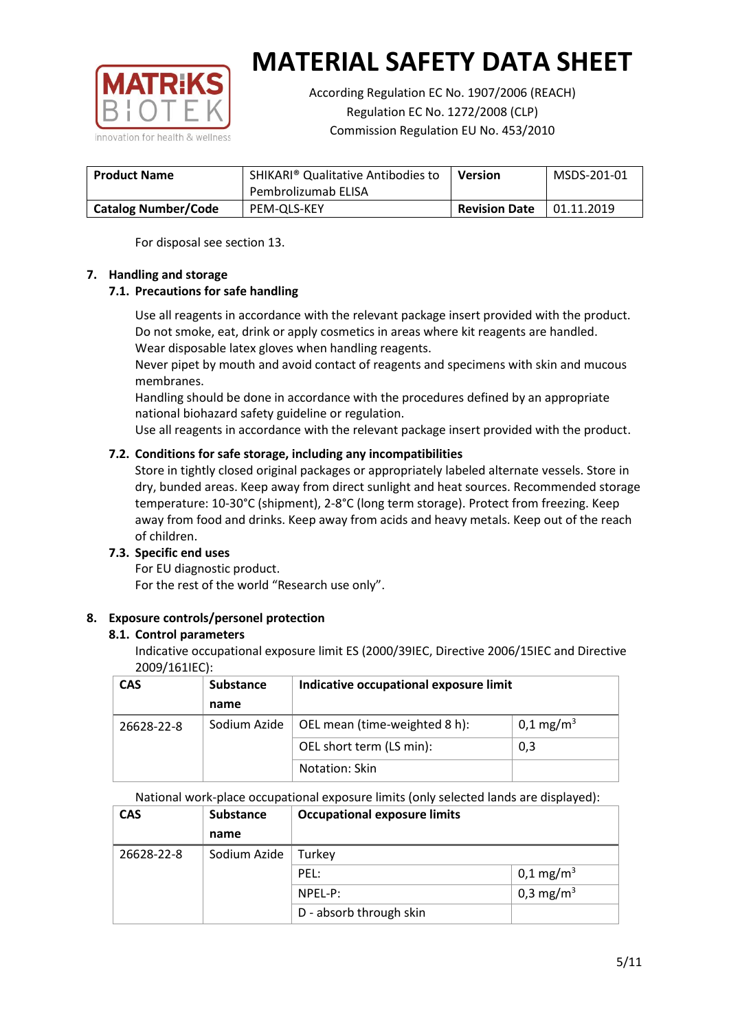

According Regulation EC No. 1907/2006 (REACH) Regulation EC No. 1272/2008 (CLP) Commission Regulation EU No. 453/2010

| <b>Product Name</b>        | <b>SHIKARI<sup>®</sup> Qualitative Antibodies to</b><br>Pembrolizumab ELISA | <b>Version</b>       | MSDS-201-01 |
|----------------------------|-----------------------------------------------------------------------------|----------------------|-------------|
| <b>Catalog Number/Code</b> | PEM-OLS-KEY                                                                 | <b>Revision Date</b> | 01.11.2019  |

For disposal see section 13.

## **7. Handling and storage**

## **7.1. Precautions for safe handling**

Use all reagents in accordance with the relevant package insert provided with the product. Do not smoke, eat, drink or apply cosmetics in areas where kit reagents are handled. Wear disposable latex gloves when handling reagents.

Never pipet by mouth and avoid contact of reagents and specimens with skin and mucous membranes.

Handling should be done in accordance with the procedures defined by an appropriate national biohazard safety guideline or regulation.

Use all reagents in accordance with the relevant package insert provided with the product.

## **7.2. Conditions for safe storage, including any incompatibilities**

Store in tightly closed original packages or appropriately labeled alternate vessels. Store in dry, bunded areas. Keep away from direct sunlight and heat sources. Recommended storage temperature: 10-30°C (shipment), 2-8°C (long term storage). Protect from freezing. Keep away from food and drinks. Keep away from acids and heavy metals. Keep out of the reach of children.

## **7.3. Specific end uses**

For EU diagnostic product. For the rest of the world "Research use only".

## **8. Exposure controls/personel protection**

#### **8.1. Control parameters**

Indicative occupational exposure limit ES (2000/39IEC, Directive 2006/15IEC and Directive 2009/161IEC):

| <b>CAS</b> | <b>Substance</b> | Indicative occupational exposure limit |                         |
|------------|------------------|----------------------------------------|-------------------------|
|            | name             |                                        |                         |
| 26628-22-8 | Sodium Azide     | OEL mean (time-weighted 8 h):          | $0,1 \,\mathrm{mg/m^3}$ |
|            |                  | OEL short term (LS min):               | 0,3                     |
|            |                  | Notation: Skin                         |                         |

National work-place occupational exposure limits (only selected lands are displayed):

| <b>CAS</b> | <b>Substance</b> | <b>Occupational exposure limits</b> |                         |
|------------|------------------|-------------------------------------|-------------------------|
|            | name             |                                     |                         |
| 26628-22-8 | Sodium Azide     | Turkey                              |                         |
|            |                  | PEL:                                | $0,1 \,\mathrm{mg/m^3}$ |
|            |                  | $NPEL-P$ :                          | 0,3 mg/m <sup>3</sup>   |
|            |                  | D - absorb through skin             |                         |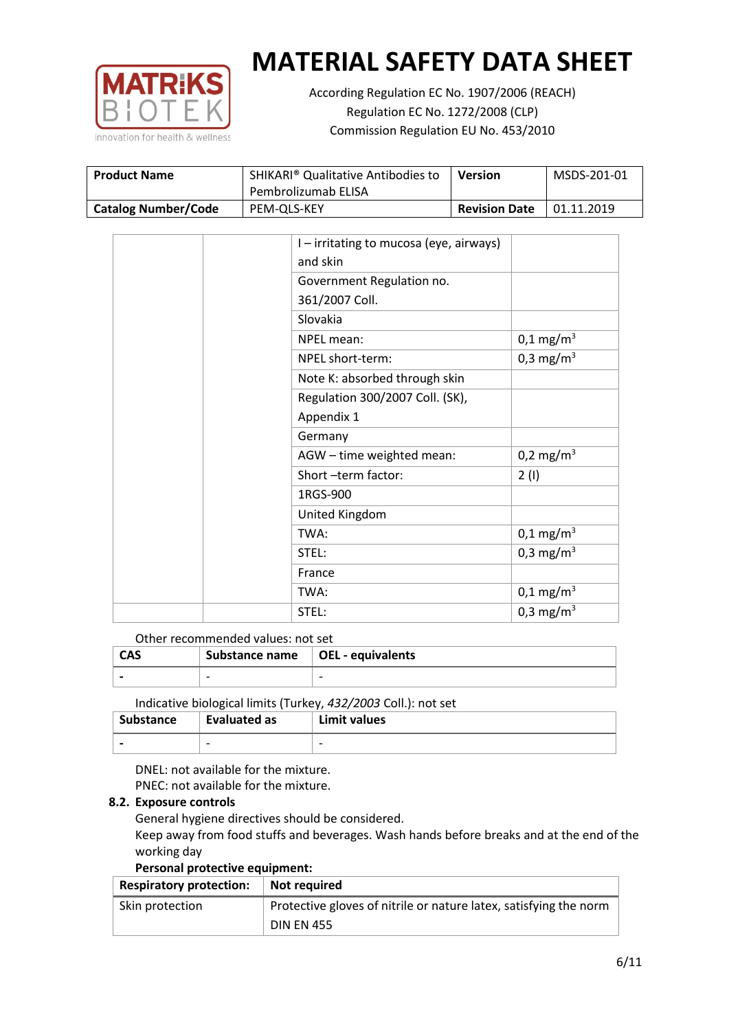

According Regulation EC No. 1907/2006 (REACH) Regulation EC No. 1272/2008 (CLP) Commission Regulation EU No. 453/2010

| <b>Product Name</b>        | SHIKARI <sup>®</sup> Qualitative Antibodies to<br>Pembrolizumab ELISA | Version              | MSDS-201-01 |
|----------------------------|-----------------------------------------------------------------------|----------------------|-------------|
| <b>Catalog Number/Code</b> | PEM-OLS-KEY                                                           | <b>Revision Date</b> | 01.11.2019  |

| I-irritating to mucosa (eye, airways) |                       |
|---------------------------------------|-----------------------|
| and skin                              |                       |
| Government Regulation no.             |                       |
| 361/2007 Coll.                        |                       |
| Slovakia                              |                       |
| NPEL mean:                            | $0,1 \text{ mg/m}^3$  |
| NPEL short-term:                      | 0,3 mg/m <sup>3</sup> |
| Note K: absorbed through skin         |                       |
| Regulation 300/2007 Coll. (SK),       |                       |
| Appendix 1                            |                       |
| Germany                               |                       |
| AGW - time weighted mean:             | 0,2 mg/m <sup>3</sup> |
| Short-term factor:                    | 2(1)                  |
| 1RGS-900                              |                       |
| United Kingdom                        |                       |
| TWA:                                  | $0,1 \text{ mg/m}^3$  |
| STEL:                                 | 0,3 mg/m <sup>3</sup> |
| France                                |                       |
| TWA:                                  | $0,1 \text{ mg/m}^3$  |
| STEL:                                 | 0,3 mg/m <sup>3</sup> |

### Other recommended values: not set

| <b>CAS</b> | Substance name $\vert$ OEL - equivalents |   |
|------------|------------------------------------------|---|
|            | $\overline{\phantom{0}}$                 | - |
|            |                                          |   |

Indicative biological limits (Turkey, *432/2003* Coll.): not set

| <b>Substance</b> | Evaluated as             | Limit values             |
|------------------|--------------------------|--------------------------|
|                  | $\overline{\phantom{0}}$ | $\overline{\phantom{0}}$ |

DNEL: not available for the mixture. PNEC: not available for the mixture.

#### **8.2. Exposure controls**

General hygiene directives should be considered.

Keep away from food stuffs and beverages. Wash hands before breaks and at the end of the working day

#### **Personal protective equipment:**

| <b>Respiratory protection:</b> | Not required                                                      |
|--------------------------------|-------------------------------------------------------------------|
| Skin protection                | Protective gloves of nitrile or nature latex, satisfying the norm |
|                                | <b>DIN EN 455</b>                                                 |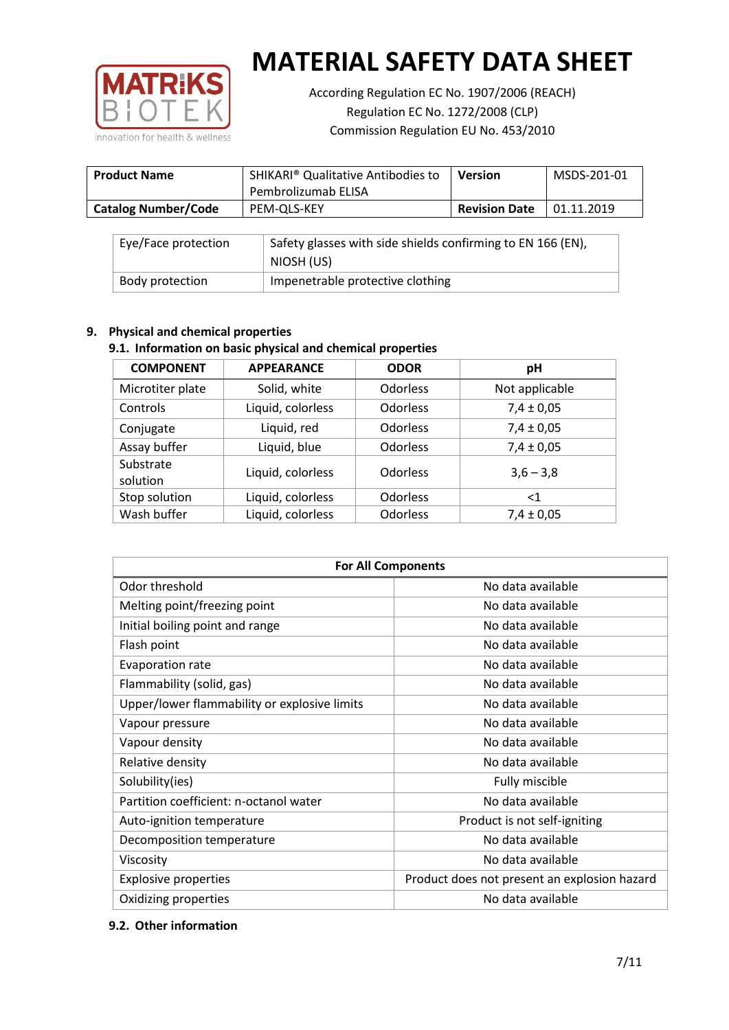

According Regulation EC No. 1907/2006 (REACH) Regulation EC No. 1272/2008 (CLP) Commission Regulation EU No. 453/2010

| <b>Product Name</b>        | SHIKARI <sup>®</sup> Qualitative Antibodies to<br>Pembrolizumab ELISA | <b>Version</b>       | MSDS-201-01 |
|----------------------------|-----------------------------------------------------------------------|----------------------|-------------|
| <b>Catalog Number/Code</b> | PEM-OLS-KEY                                                           | <b>Revision Date</b> | 01.11.2019  |

| Eye/Face protection | Safety glasses with side shields confirming to EN 166 (EN),<br>NIOSH (US) |
|---------------------|---------------------------------------------------------------------------|
| Body protection     | Impenetrable protective clothing                                          |

## **9. Physical and chemical properties**

## **9.1. Information on basic physical and chemical properties**

| <b>COMPONENT</b>      | <b>APPEARANCE</b> | <b>ODOR</b>     | pH             |
|-----------------------|-------------------|-----------------|----------------|
| Microtiter plate      | Solid, white      | <b>Odorless</b> | Not applicable |
| Controls              | Liquid, colorless | <b>Odorless</b> | $7,4 \pm 0,05$ |
| Conjugate             | Liquid, red       | <b>Odorless</b> | $7,4 \pm 0,05$ |
| Assay buffer          | Liquid, blue      | Odorless        | $7,4 \pm 0,05$ |
| Substrate<br>solution | Liquid, colorless | <b>Odorless</b> | $3,6 - 3,8$    |
| Stop solution         | Liquid, colorless | <b>Odorless</b> | ${<}1$         |
| Wash buffer           | Liquid, colorless | Odorless        | $7,4 \pm 0,05$ |

| <b>For All Components</b>                    |                                              |  |  |
|----------------------------------------------|----------------------------------------------|--|--|
| Odor threshold                               | No data available                            |  |  |
| Melting point/freezing point                 | No data available                            |  |  |
| Initial boiling point and range              | No data available                            |  |  |
| Flash point                                  | No data available                            |  |  |
| Evaporation rate                             | No data available                            |  |  |
| Flammability (solid, gas)                    | No data available                            |  |  |
| Upper/lower flammability or explosive limits | No data available                            |  |  |
| Vapour pressure                              | No data available                            |  |  |
| Vapour density                               | No data available                            |  |  |
| Relative density                             | No data available                            |  |  |
| Solubility(ies)                              | Fully miscible                               |  |  |
| Partition coefficient: n-octanol water       | No data available                            |  |  |
| Auto-ignition temperature                    | Product is not self-igniting                 |  |  |
| Decomposition temperature                    | No data available                            |  |  |
| Viscosity                                    | No data available                            |  |  |
| <b>Explosive properties</b>                  | Product does not present an explosion hazard |  |  |
| Oxidizing properties                         | No data available                            |  |  |

## **9.2. Other information**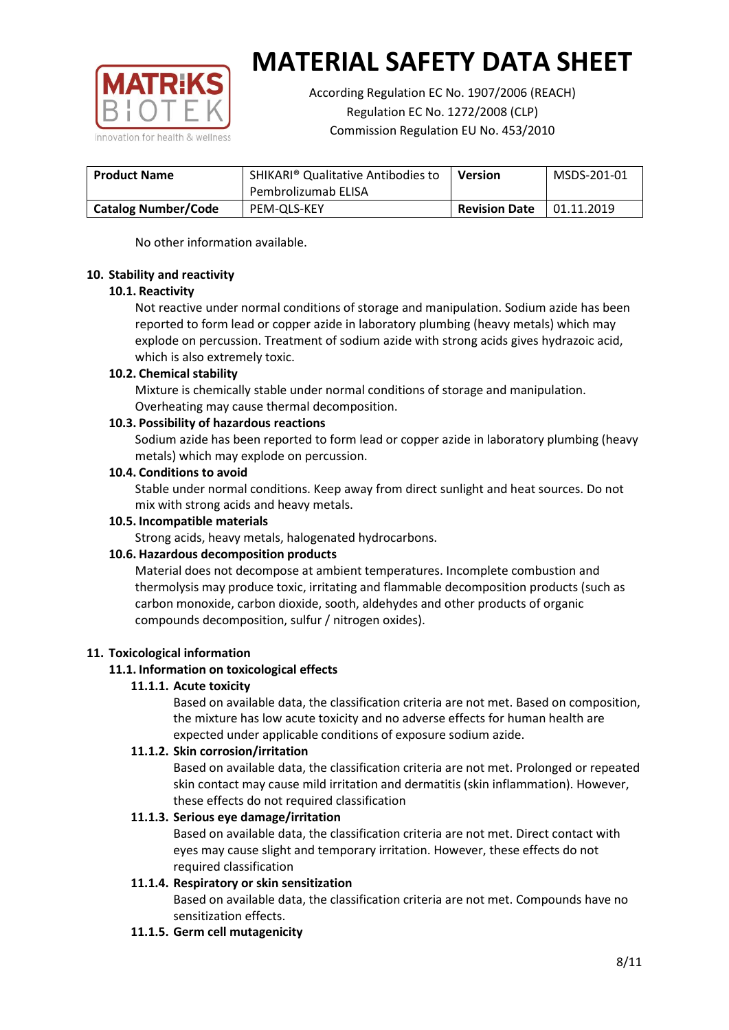

According Regulation EC No. 1907/2006 (REACH) Regulation EC No. 1272/2008 (CLP) Commission Regulation EU No. 453/2010

| <b>Product Name</b>        | SHIKARI <sup>®</sup> Qualitative Antibodies to<br>Pembrolizumab ELISA | <b>Version</b>       | MSDS-201-01 |
|----------------------------|-----------------------------------------------------------------------|----------------------|-------------|
| <b>Catalog Number/Code</b> | PEM-OLS-KEY                                                           | <b>Revision Date</b> | 01.11.2019  |

No other information available.

### **10. Stability and reactivity**

### **10.1. Reactivity**

Not reactive under normal conditions of storage and manipulation. Sodium azide has been reported to form lead or copper azide in laboratory plumbing (heavy metals) which may explode on percussion. Treatment of sodium azide with strong acids gives hydrazoic acid, which is also extremely toxic.

### **10.2. Chemical stability**

Mixture is chemically stable under normal conditions of storage and manipulation. Overheating may cause thermal decomposition.

### **10.3. Possibility of hazardous reactions**

Sodium azide has been reported to form lead or copper azide in laboratory plumbing (heavy metals) which may explode on percussion.

### **10.4. Conditions to avoid**

Stable under normal conditions. Keep away from direct sunlight and heat sources. Do not mix with strong acids and heavy metals.

#### **10.5. Incompatible materials**

Strong acids, heavy metals, halogenated hydrocarbons.

## **10.6. Hazardous decomposition products**

Material does not decompose at ambient temperatures. Incomplete combustion and thermolysis may produce toxic, irritating and flammable decomposition products (such as carbon monoxide, carbon dioxide, sooth, aldehydes and other products of organic compounds decomposition, sulfur / nitrogen oxides).

## **11. Toxicological information**

## **11.1. Information on toxicological effects**

#### **11.1.1. Acute toxicity**

Based on available data, the classification criteria are not met. Based on composition, the mixture has low acute toxicity and no adverse effects for human health are expected under applicable conditions of exposure sodium azide.

#### **11.1.2. Skin corrosion/irritation**

Based on available data, the classification criteria are not met. Prolonged or repeated skin contact may cause mild irritation and dermatitis (skin inflammation). However, these effects do not required classification

## **11.1.3. Serious eye damage/irritation**

Based on available data, the classification criteria are not met. Direct contact with eyes may cause slight and temporary irritation. However, these effects do not required classification

## **11.1.4. Respiratory or skin sensitization**

Based on available data, the classification criteria are not met. Compounds have no sensitization effects.

#### **11.1.5. Germ cell mutagenicity**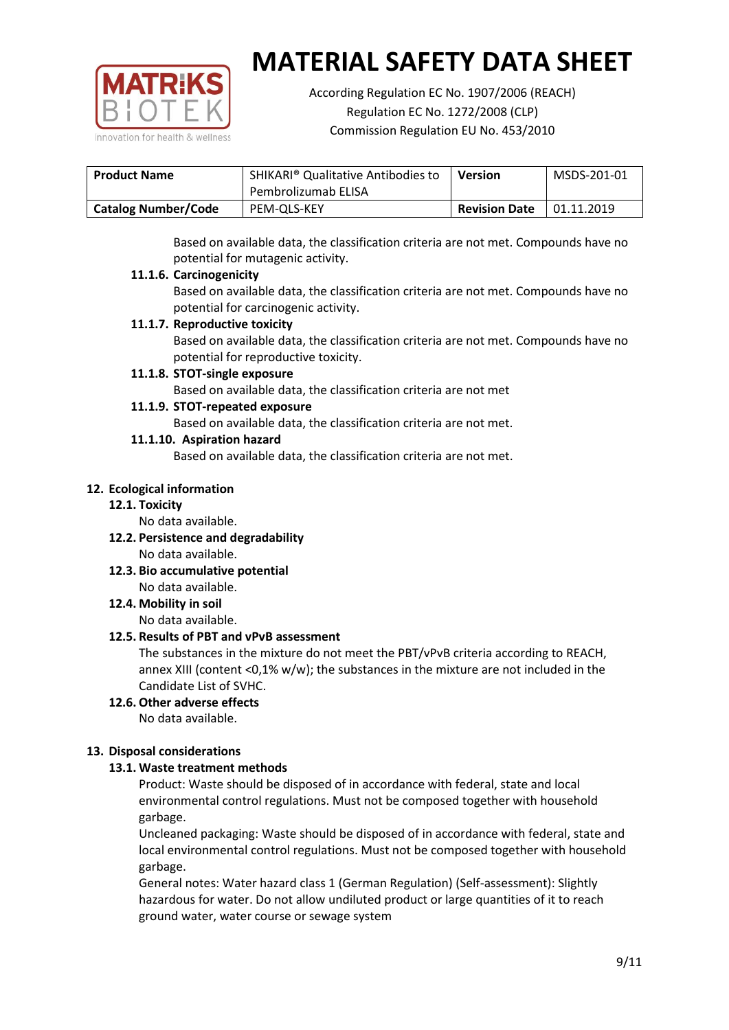

According Regulation EC No. 1907/2006 (REACH) Regulation EC No. 1272/2008 (CLP) Commission Regulation EU No. 453/2010

| <b>Product Name</b>        | <b>SHIKARI</b> <sup>®</sup> Qualitative Antibodies to<br>Pembrolizumab ELISA | <b>Version</b>       | MSDS-201-01 |
|----------------------------|------------------------------------------------------------------------------|----------------------|-------------|
|                            |                                                                              |                      |             |
| <b>Catalog Number/Code</b> | PEM-OLS-KEY                                                                  | <b>Revision Date</b> | 01.11.2019  |

Based on available data, the classification criteria are not met. Compounds have no potential for mutagenic activity.

### **11.1.6. Carcinogenicity**

Based on available data, the classification criteria are not met. Compounds have no potential for carcinogenic activity.

### **11.1.7. Reproductive toxicity**

Based on available data, the classification criteria are not met. Compounds have no potential for reproductive toxicity.

### **11.1.8. STOT-single exposure**

Based on available data, the classification criteria are not met

### **11.1.9. STOT-repeated exposure**

Based on available data, the classification criteria are not met.

### **11.1.10. Aspiration hazard**

Based on available data, the classification criteria are not met.

### **12. Ecological information**

#### **12.1. Toxicity**

No data available.

- **12.2. Persistence and degradability** No data available.
- **12.3. Bio accumulative potential** No data available.

**12.4. Mobility in soil**

No data available.

## **12.5. Results of PBT and vPvB assessment**

The substances in the mixture do not meet the PBT/vPvB criteria according to REACH, annex XIII (content <0,1% w/w); the substances in the mixture are not included in the Candidate List of SVHC.

#### **12.6. Other adverse effects** No data available.

## **13. Disposal considerations**

## **13.1. Waste treatment methods**

Product: Waste should be disposed of in accordance with federal, state and local environmental control regulations. Must not be composed together with household garbage.

Uncleaned packaging: Waste should be disposed of in accordance with federal, state and local environmental control regulations. Must not be composed together with household garbage.

General notes: Water hazard class 1 (German Regulation) (Self-assessment): Slightly hazardous for water. Do not allow undiluted product or large quantities of it to reach ground water, water course or sewage system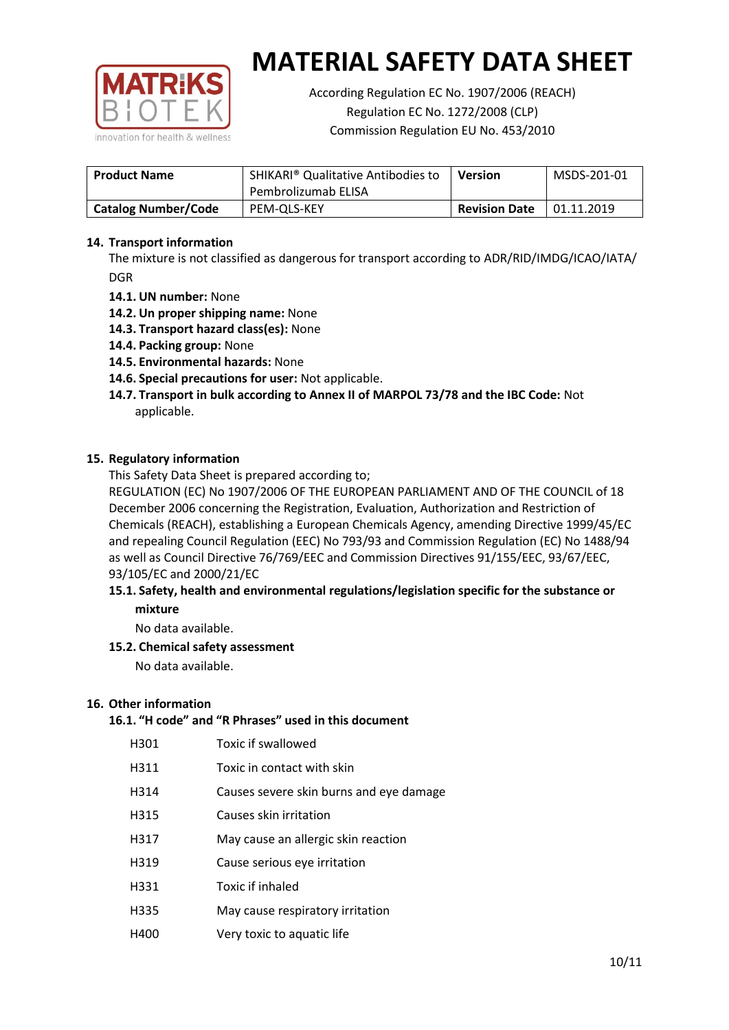

According Regulation EC No. 1907/2006 (REACH) Regulation EC No. 1272/2008 (CLP) Commission Regulation EU No. 453/2010

| <b>Product Name</b>        | <b>SHIKARI</b> <sup>®</sup> Qualitative Antibodies to<br>Pembrolizumab ELISA | Version | MSDS-201-01 |
|----------------------------|------------------------------------------------------------------------------|---------|-------------|
| <b>Catalog Number/Code</b> | <b>Revision Date</b><br>PEM-OLS-KEY                                          |         | 01.11.2019  |

## **14. Transport information**

The mixture is not classified as dangerous for transport according to ADR/RID/IMDG/ICAO/IATA/ DGR

- **14.1. UN number:** None
- **14.2. Un proper shipping name:** None
- **14.3. Transport hazard class(es):** None
- **14.4. Packing group:** None
- **14.5. Environmental hazards:** None
- **14.6. Special precautions for user:** Not applicable.
- **14.7. Transport in bulk according to Annex II of MARPOL 73/78 and the IBC Code:** Not applicable.

#### **15. Regulatory information**

This Safety Data Sheet is prepared according to;

REGULATION (EC) No 1907/2006 OF THE EUROPEAN PARLIAMENT AND OF THE COUNCIL of 18 December 2006 concerning the Registration, Evaluation, Authorization and Restriction of Chemicals (REACH), establishing a European Chemicals Agency, amending Directive 1999/45/EC and repealing Council Regulation (EEC) No 793/93 and Commission Regulation (EC) No 1488/94 as well as Council Directive 76/769/EEC and Commission Directives 91/155/EEC, 93/67/EEC, 93/105/EC and 2000/21/EC

### **15.1. Safety, health and environmental regulations/legislation specific for the substance or mixture**

No data available.

## **15.2. Chemical safety assessment**

No data available.

#### **16. Other information**

## **16.1. "H code" and "R Phrases" used in this document**

| H301 | Toxic if swallowed |
|------|--------------------|
|------|--------------------|

- H311 Toxic in contact with skin
- H314 Causes severe skin burns and eye damage
- H315 Causes skin irritation
- H317 May cause an allergic skin reaction
- H319 Cause serious eye irritation
- H331 Toxic if inhaled
- H335 May cause respiratory irritation
- H400 Very toxic to aquatic life